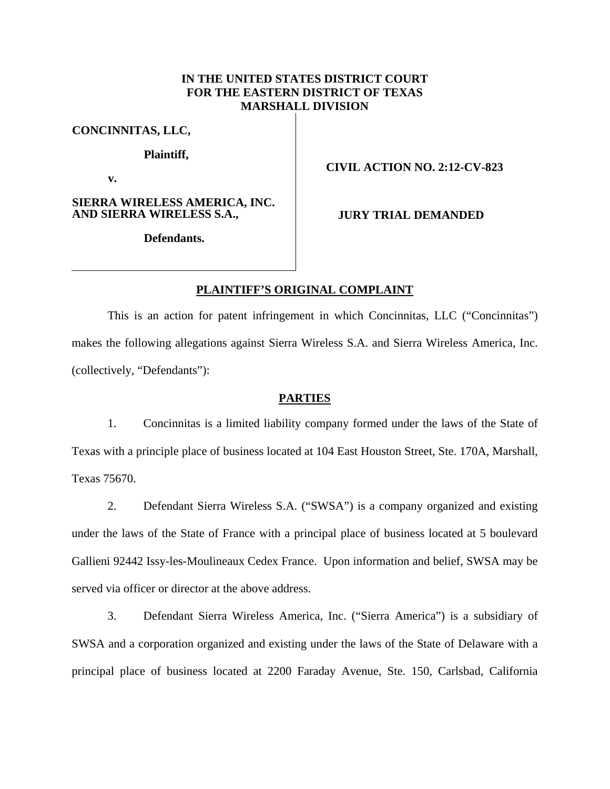# **IN THE UNITED STATES DISTRICT COURT FOR THE EASTERN DISTRICT OF TEXAS MARSHALL DIVISION**

**CONCINNITAS, LLC,** 

**Plaintiff,** 

**v.** 

**SIERRA WIRELESS AMERICA, INC. AND SIERRA WIRELESS S.A.,** 

## **CIVIL ACTION NO. 2:12-CV-823**

**JURY TRIAL DEMANDED** 

**Defendants.** 

## **PLAINTIFF'S ORIGINAL COMPLAINT**

This is an action for patent infringement in which Concinnitas, LLC ("Concinnitas") makes the following allegations against Sierra Wireless S.A. and Sierra Wireless America, Inc. (collectively, "Defendants"):

### **PARTIES**

1. Concinnitas is a limited liability company formed under the laws of the State of Texas with a principle place of business located at 104 East Houston Street, Ste. 170A, Marshall, Texas 75670.

2. Defendant Sierra Wireless S.A. ("SWSA") is a company organized and existing under the laws of the State of France with a principal place of business located at 5 boulevard Gallieni 92442 Issy-les-Moulineaux Cedex France. Upon information and belief, SWSA may be served via officer or director at the above address.

3. Defendant Sierra Wireless America, Inc. ("Sierra America") is a subsidiary of SWSA and a corporation organized and existing under the laws of the State of Delaware with a principal place of business located at 2200 Faraday Avenue, Ste. 150, Carlsbad, California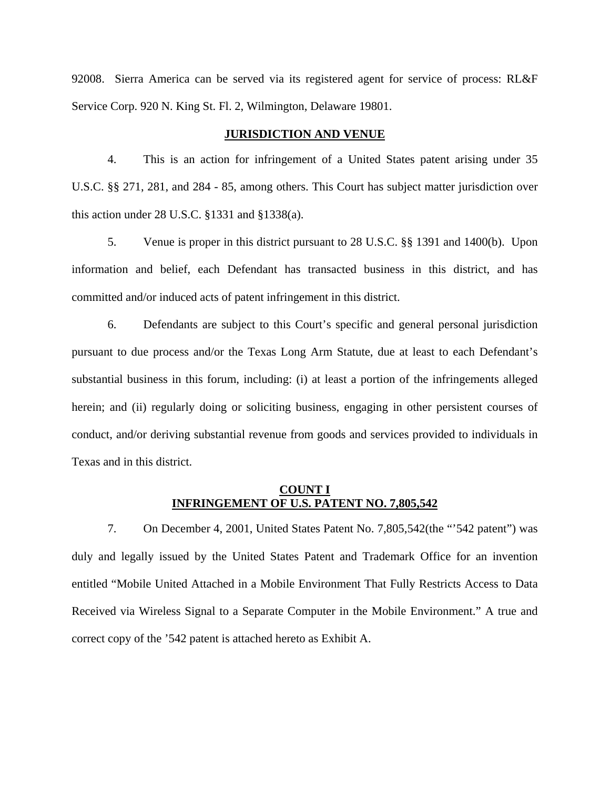92008. Sierra America can be served via its registered agent for service of process: RL&F Service Corp. 920 N. King St. Fl. 2, Wilmington, Delaware 19801.

## **JURISDICTION AND VENUE**

4. This is an action for infringement of a United States patent arising under 35 U.S.C. §§ 271, 281, and 284 - 85, among others. This Court has subject matter jurisdiction over this action under 28 U.S.C. §1331 and §1338(a).

5. Venue is proper in this district pursuant to 28 U.S.C. §§ 1391 and 1400(b). Upon information and belief, each Defendant has transacted business in this district, and has committed and/or induced acts of patent infringement in this district.

6. Defendants are subject to this Court's specific and general personal jurisdiction pursuant to due process and/or the Texas Long Arm Statute, due at least to each Defendant's substantial business in this forum, including: (i) at least a portion of the infringements alleged herein; and (ii) regularly doing or soliciting business, engaging in other persistent courses of conduct, and/or deriving substantial revenue from goods and services provided to individuals in Texas and in this district.

## **COUNT I INFRINGEMENT OF U.S. PATENT NO. 7,805,542**

7. On December 4, 2001, United States Patent No. 7,805,542(the "'542 patent") was duly and legally issued by the United States Patent and Trademark Office for an invention entitled "Mobile United Attached in a Mobile Environment That Fully Restricts Access to Data Received via Wireless Signal to a Separate Computer in the Mobile Environment." A true and correct copy of the '542 patent is attached hereto as Exhibit A.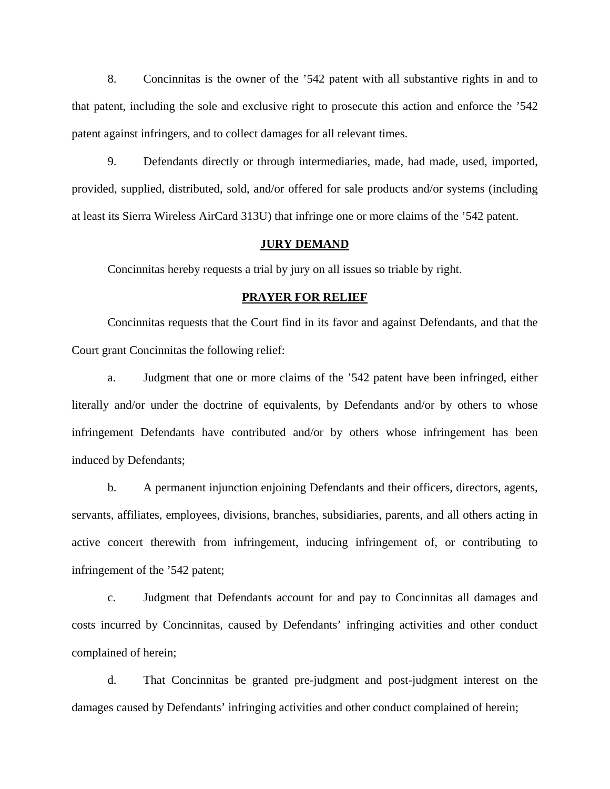8. Concinnitas is the owner of the '542 patent with all substantive rights in and to that patent, including the sole and exclusive right to prosecute this action and enforce the '542 patent against infringers, and to collect damages for all relevant times.

9. Defendants directly or through intermediaries, made, had made, used, imported, provided, supplied, distributed, sold, and/or offered for sale products and/or systems (including at least its Sierra Wireless AirCard 313U) that infringe one or more claims of the '542 patent.

#### **JURY DEMAND**

Concinnitas hereby requests a trial by jury on all issues so triable by right.

#### **PRAYER FOR RELIEF**

Concinnitas requests that the Court find in its favor and against Defendants, and that the Court grant Concinnitas the following relief:

a. Judgment that one or more claims of the '542 patent have been infringed, either literally and/or under the doctrine of equivalents, by Defendants and/or by others to whose infringement Defendants have contributed and/or by others whose infringement has been induced by Defendants;

b. A permanent injunction enjoining Defendants and their officers, directors, agents, servants, affiliates, employees, divisions, branches, subsidiaries, parents, and all others acting in active concert therewith from infringement, inducing infringement of, or contributing to infringement of the '542 patent;

c. Judgment that Defendants account for and pay to Concinnitas all damages and costs incurred by Concinnitas, caused by Defendants' infringing activities and other conduct complained of herein;

d. That Concinnitas be granted pre-judgment and post-judgment interest on the damages caused by Defendants' infringing activities and other conduct complained of herein;